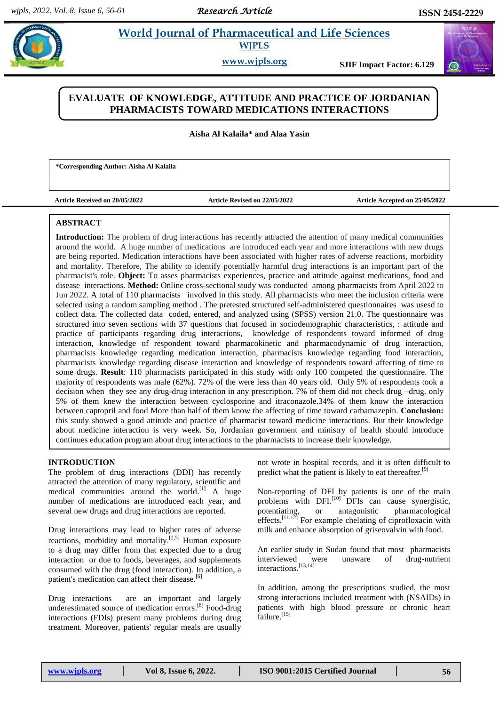# **World Journal of Pharmaceutical and Life Sciences WJPLS**

www.wipls.org

**SJIF Impact Factor: 6.129** 

# **EVALUATE OF KNOWLEDGE, ATTITUDE AND PRACTICE OF JORDANIAN PHARMACISTS TOWARD MEDICATIONS INTERACTIONS**

**Aisha Al Kalaila\* and Alaa Yasin**

**\*Corresponding Author: Aisha Al Kalaila**

**Article Received on 20/05/2022 Article Revised on 22/05/2022 Article Accepted on 25/05/2022**

## **ABSTRACT**

**Introduction:** The problem of drug interactions has recently attracted the attention of many medical communities around the world. A huge number of medications are introduced each year and more interactions with new drugs are being reported. Medication interactions have been associated with higher rates of adverse reactions, morbidity and mortality. Therefore, The ability to identify potentially harmful drug interactions is an important part of the pharmacist's role. **Object:** To asses pharmacists experiences, practice and attitude against medications, food and disease interactions. **Method:** Online cross-sectional study was conducted among pharmacists from April 2022 to Jun 2022. A total of 110 pharmacists involved in this study. All pharmacists who meet the inclusion criteria were selected using a random sampling method . The pretested structured self-administered questionnaires was usesd to collect data. The collected data coded, entered, and analyzed using (SPSS) version 21.0. The questionnaire was structured into seven sections with 37 questions that focused in sociodemographic characteristics, : attitude and practice of participants regarding drug interactions, knowledge of respondents toward informed of drug interaction, knowledge of respondent toward pharmacokinetic and pharmacodynamic of drug interaction, pharmacists knowledge regarding medication interaction, pharmacists knowledge regarding food interaction, pharmacists knowledge regarding disease interaction and knowledge of respondents toward affecting of time to some drugs. **Result**: 110 pharmacists participated in this study with only 100 competed the questionnaire. The majority of respondents was male (62%). 72% of the were less than 40 years old. Only 5% of respondents took a decision when they see any drug-drug interaction in any prescription. 7% of them did not check drug –drug. only 5% of them knew the interaction between cyclosporine and itraconazole.34% of them know the interaction between captopril and food More than half of them know the affecting of time toward carbamazepin. **Conclusion:** this study showed a good attitude and practice of pharmacist toward medicine interactions. But their knowledge about medicine interaction is very week. So, Jordanian government and ministry of health should introduce continues education program about drug interactions to the pharmacists to increase their knowledge.

## **INTRODUCTION**

The problem of drug interactions (DDI) has recently attracted the attention of many regulatory, scientific and medical communities around the world.<sup>[1]</sup> A huge number of medications are introduced each year, and several new drugs and drug interactions are reported.

Drug interactions may lead to higher rates of adverse reactions, morbidity and mortality.<sup>[2,5]</sup> Human exposure to a drug may differ from that expected due to a drug interaction or due to foods, beverages, and supplements consumed with the drug (food interaction). In addition, a patient's medication can affect their disease.<sup>[6]</sup>

Drug interactions are an important and largely underestimated source of medication errors. [8] Food-drug interactions (FDIs) present many problems during drug treatment. Moreover, patients' regular meals are usually

not wrote in hospital records, and it is often difficult to predict what the patient is likely to eat thereafter.<sup>[9]</sup>

Non-reporting of DFI by patients is one of the main problems with DFI.<sup>[10]</sup> DFIs can cause synergistic, potentiating, or antagonistic pharmacological effects.<sup>[11,12]</sup> For example chelating of ciprofloxacin with milk and enhance absorption of griseovalvin with food.

An earlier study in Sudan found that most pharmacists interviewed were unaware of drug-nutrient interactions. [13,14]

In addition, among the prescriptions studied, the most strong interactions included treatment with (NSAIDs) in patients with high blood pressure or chronic heart failure.<sup>[15]</sup>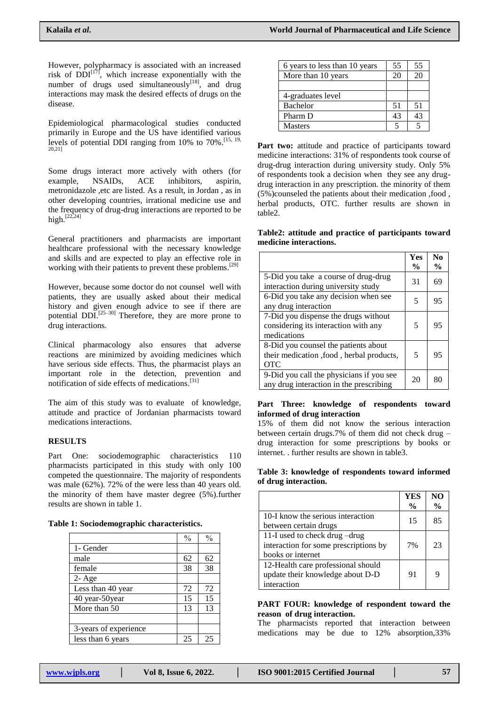However, polypharmacy is associated with an increased risk of  $DDI^{[17]}$ , which increase exponentially with the number of drugs used simultaneously $^{[18]}$ , and drug interactions may mask the desired effects of drugs on the disease.

Epidemiological pharmacological studies conducted primarily in Europe and the US have identified various levels of potential DDI ranging from 10% to 70%.<sup>[15, 19,</sup>] 20,21]

Some drugs interact more actively with others (for example, NSAIDs, ACE inhibitors, aspirin, metronidazole ,etc are listed. As a result, in Jordan , as in other developing countries, irrational medicine use and the frequency of drug-drug interactions are reported to be high.<sup>[22,24]</sup>

General practitioners and pharmacists are important healthcare professional with the necessary knowledge and skills and are expected to play an effective role in working with their patients to prevent these problems.<sup>[29]</sup>

However, because some doctor do not counsel well with patients, they are usually asked about their medical history and given enough advice to see if there are potential DDI.<sup>[25-30]</sup> Therefore, they are more prone to drug interactions.

Clinical pharmacology also ensures that adverse reactions are minimized by avoiding medicines which have serious side effects. Thus, the pharmacist plays an important role in the detection, prevention and notification of side effects of medications. [31]

The aim of this study was to evaluate of knowledge, attitude and practice of Jordanian pharmacists toward medications interactions.

## **RESULTS**

Part One: sociodemographic characteristics 110 pharmacists participated in this study with only 100 competed the questionnaire. The majority of respondents was male (62%). 72% of the were less than 40 years old. the minority of them have master degree (5%).further results are shown in table 1.

|  | Table 1: Sociodemographic characteristics. |  |  |
|--|--------------------------------------------|--|--|
|--|--------------------------------------------|--|--|

|                       | $\frac{0}{0}$ | $\frac{0}{0}$ |
|-----------------------|---------------|---------------|
| 1- Gender             |               |               |
| male                  | 62            | 62            |
| female                | 38            | 38            |
| $2 - Age$             |               |               |
| Less than 40 year     | 72            | 72            |
| 40 year-50year        | 15            | 15            |
| More than 50          | 13            | 13            |
|                       |               |               |
| 3-years of experience |               |               |
| less than 6 years     | 25            | 25            |

| 6 years to less than 10 years | 55 | 55 |
|-------------------------------|----|----|
| More than 10 years            | 20 | 20 |
|                               |    |    |
| 4-graduates level             |    |    |
| Bachelor                      | 51 | 51 |
| Pharm D                       | 43 | 43 |
| <b>Masters</b>                |    |    |

Part two: attitude and practice of participants toward medicine interactions: 31% of respondents took course of drug-drug interaction during university study. Only 5% of respondents took a decision when they see any drugdrug interaction in any prescription. the minority of them (5%)counseled the patients about their medication ,food , herbal products, OTC. further results are shown in table2.

**Table2: attitude and practice of participants toward medicine interactions.**

|                                                                                                | Yes           | No            |
|------------------------------------------------------------------------------------------------|---------------|---------------|
|                                                                                                | $\frac{0}{0}$ | $\frac{0}{0}$ |
| 5-Did you take a course of drug-drug<br>interaction during university study                    | 31            | 69            |
|                                                                                                |               |               |
| 6-Did you take any decision when see<br>any drug interaction                                   | 5             | 95            |
| 7-Did you dispense the drugs without<br>considering its interaction with any<br>medications    | 5             | 95            |
| 8-Did you counsel the patients about<br>their medication, food, herbal products,<br><b>OTC</b> | 5             | 95            |
| 9-Did you call the physicians if you see<br>any drug interaction in the prescribing            | 20            | 80            |

#### **Part Three: knowledge of respondents toward informed of drug interaction**

15% of them did not know the serious interaction between certain drugs.7% of them did not check drug – drug interaction for some prescriptions by books or internet. . further results are shown in table3.

#### **Table 3: knowledge of respondents toward informed of drug interaction.**

|                                                                                             | YES<br>$\frac{0}{0}$ | NO<br>$\frac{6}{9}$ |
|---------------------------------------------------------------------------------------------|----------------------|---------------------|
| 10-I know the serious interaction<br>between certain drugs                                  | 15                   | 85                  |
| 11-I used to check drug -drug<br>interaction for some prescriptions by<br>books or internet | 7%                   | 23                  |
| 12-Health care professional should<br>update their knowledge about D-D<br>interaction       | 91                   | q                   |

### **PART FOUR: knowledge of respondent toward the reason of drug interaction.**

The pharmacists reported that interaction between medications may be due to 12% absorption,33%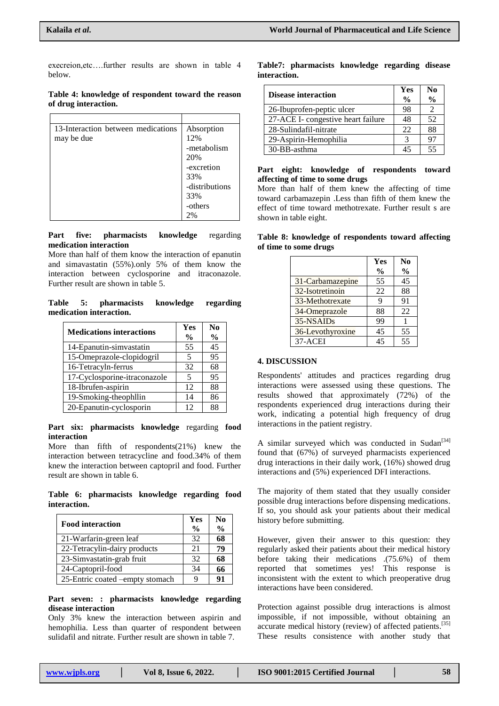execreion,etc….further results are shown in table 4 below.

## **Table 4: knowledge of respondent toward the reason of drug interaction.**

| 13-Interaction between medications | Absorption     |
|------------------------------------|----------------|
| may be due                         | 12%            |
|                                    | -metabolism    |
|                                    | 20%            |
|                                    | -excretion     |
|                                    | 33%            |
|                                    | -distributions |
|                                    | 33%            |
|                                    | -others        |
|                                    | 2%             |

**Part five: pharmacists knowledge** regarding **medication interaction**

More than half of them know the interaction of epanutin and simavastatin (55%).only 5% of them know the interaction between cyclosporine and itraconazole. Further result are shown in table 5.

**Table 5: pharmacists knowledge regarding medication interaction.**

| <b>Medications interactions</b> | Yes           | $\bf N_0$     |
|---------------------------------|---------------|---------------|
|                                 | $\frac{0}{0}$ | $\frac{0}{0}$ |
| 14-Epanutin-simvastatin         | 55            | 45            |
| 15-Omeprazole-clopidogril       | 5             | 95            |
| 16-Tetracyln-ferrus             | 32            | 68            |
| 17-Cyclosporine-itraconazole    | 5             | 95            |
| 18-Ibrufen-aspirin              | 12            | 88            |
| 19-Smoking-theophllin           | 14            | 86            |
| 20-Epanutin-cyclosporin         | 12            | 88            |

#### **Part six: pharmacists knowledge** regarding **food interaction**

More than fifth of respondents(21%) knew the interaction between tetracycline and food.34% of them knew the interaction between captopril and food. Further result are shown in table 6.

**Table 6: pharmacists knowledge regarding food interaction.**

| <b>Food interaction</b>         | Yes<br>$\frac{0}{0}$ | N <sub>0</sub><br>$\frac{6}{9}$ |
|---------------------------------|----------------------|---------------------------------|
| 21-Warfarin-green leaf          | 32                   | 68                              |
| 22-Tetracylin-dairy products    | 21                   | 79                              |
| 23-Simvastatin-grab fruit       | 32                   | 68                              |
| 24-Captopril-food               | 34                   | 66                              |
| 25-Entric coated -empty stomach | q                    | 91                              |

#### **Part seven: : pharmacists knowledge regarding disease interaction**

Only 3% knew the interaction between aspirin and hemophilia. Less than quarter of respondent between sulidafil and nitrate. Further result are shown in table 7.

## **Table7: pharmacists knowledge regarding disease interaction.**

| <b>Disease interaction</b>         | Yes           | N <sub>0</sub> |
|------------------------------------|---------------|----------------|
|                                    | $\frac{0}{0}$ | $\frac{0}{0}$  |
| 26-Ibuprofen-peptic ulcer          | 98            |                |
| 27-ACE I- congestive heart failure | 48            | 52             |
| 28-Sulindafil-nitrate              | 22            | 88             |
| 29-Aspirin-Hemophilia              |               | 97             |
| 30-BB-asthma                       | 45            | 55             |

### **Part eight: knowledge of respondents toward affecting of time to some drugs**

More than half of them knew the affecting of time toward carbamazepin .Less than fifth of them knew the effect of time toward methotrexate. Further result s are shown in table eight.

| Table 8: knowledge of respondents toward affecting |  |  |
|----------------------------------------------------|--|--|
| of time to some drugs                              |  |  |

|                  | Yes           | No            |
|------------------|---------------|---------------|
|                  | $\frac{6}{9}$ | $\frac{6}{9}$ |
| 31-Carbamazepine | 55            | 45            |
| 32-Isotretinoin  | 22            | 88            |
| 33-Methotrexate  | 9             | 91            |
| 34-Omeprazole    | 88            | 22            |
| 35-NSAIDs        | 99            |               |
| 36-Levothyroxine | 45            | 55            |
| $37-ACEI$        | 45            | 55            |

## **4. DISCUSSION**

Respondents' attitudes and practices regarding drug interactions were assessed using these questions. The results showed that approximately (72%) of the respondents experienced drug interactions during their work, indicating a potential high frequency of drug interactions in the patient registry.

A similar surveyed which was conducted in Sudan<sup>[34]</sup> found that (67%) of surveyed pharmacists experienced drug interactions in their daily work, (16%) showed drug interactions and (5%) experienced DFI interactions.

The majority of them stated that they usually consider possible drug interactions before dispensing medications. If so, you should ask your patients about their medical history before submitting.

However, given their answer to this question: they regularly asked their patients about their medical history before taking their medications .(75.6%) of them reported that sometimes yes! This response is inconsistent with the extent to which preoperative drug interactions have been considered.

Protection against possible drug interactions is almost impossible, if not impossible, without obtaining an accurate medical history (review) of affected patients.<sup>[35]</sup> These results consistence with another study that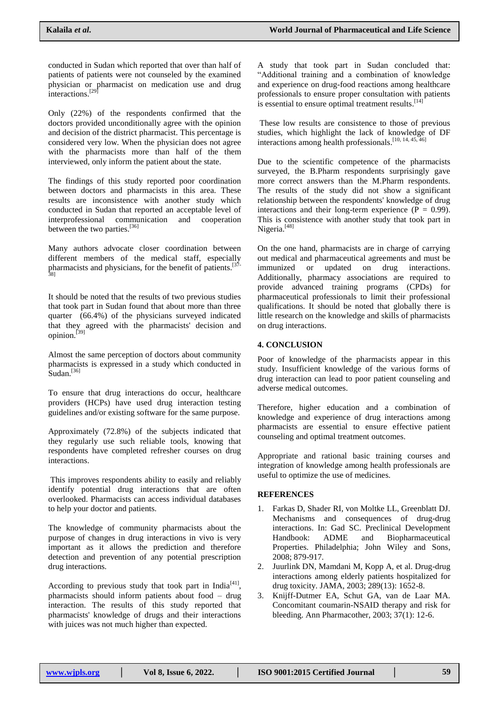conducted in Sudan which reported that over than half of patients of patients were not counseled by the examined physician or pharmacist on medication use and drug interactions. [29]

Only (22%) of the respondents confirmed that the doctors provided unconditionally agree with the opinion and decision of the district pharmacist. This percentage is considered very low. When the physician does not agree with the pharmacists more than half of the them interviewed, only inform the patient about the state.

The findings of this study reported poor coordination between doctors and pharmacists in this area. These results are inconsistence with another study which conducted in Sudan that reported an acceptable level of interprofessional communication and cooperation between the two parties.<sup>[36]</sup>

Many authors advocate closer coordination between different members of the medical staff, especially pharmacists and physicians, for the benefit of patients.<sup>[37-</sup>] 38]

It should be noted that the results of two previous studies that took part in Sudan found that about more than three quarter (66.4%) of the physicians surveyed indicated that they agreed with the pharmacists' decision and opinion.<sup>[39]</sup>

Almost the same perception of doctors about community pharmacists is expressed in a study which conducted in Sudan.<sup>[36]</sup>

To ensure that drug interactions do occur, healthcare providers (HCPs) have used drug interaction testing guidelines and/or existing software for the same purpose.

Approximately (72.8%) of the subjects indicated that they regularly use such reliable tools, knowing that respondents have completed refresher courses on drug interactions.

This improves respondents ability to easily and reliably identify potential drug interactions that are often overlooked. Pharmacists can access individual databases to help your doctor and patients.

The knowledge of community pharmacists about the purpose of changes in drug interactions in vivo is very important as it allows the prediction and therefore detection and prevention of any potential prescription drug interactions.

According to previous study that took part in India<sup>[41]</sup>, pharmacists should inform patients about food – drug interaction. The results of this study reported that pharmacists' knowledge of drugs and their interactions with juices was not much higher than expected.

A study that took part in Sudan concluded that: ―Additional training and a combination of knowledge and experience on drug-food reactions among healthcare professionals to ensure proper consultation with patients is essential to ensure optimal treatment results.<sup>[14]</sup>

These low results are consistence to those of previous studies, which highlight the lack of knowledge of DF interactions among health professionals.<sup>[10, 14, 45, 46]</sup>

Due to the scientific competence of the pharmacists surveyed, the B.Pharm respondents surprisingly gave more correct answers than the M.Pharm respondents. The results of the study did not show a significant relationship between the respondents' knowledge of drug interactions and their long-term experience  $(P = 0.99)$ . This is consistence with another study that took part in Nigeria.<sup>[48]</sup>

On the one hand, pharmacists are in charge of carrying out medical and pharmaceutical agreements and must be immunized or updated on drug interactions. Additionally, pharmacy associations are required to provide advanced training programs (CPDs) for pharmaceutical professionals to limit their professional qualifications. It should be noted that globally there is little research on the knowledge and skills of pharmacists on drug interactions.

## **4. CONCLUSION**

Poor of knowledge of the pharmacists appear in this study. Insufficient knowledge of the various forms of drug interaction can lead to poor patient counseling and adverse medical outcomes.

Therefore, higher education and a combination of knowledge and experience of drug interactions among pharmacists are essential to ensure effective patient counseling and optimal treatment outcomes.

Appropriate and rational basic training courses and integration of knowledge among health professionals are useful to optimize the use of medicines.

## **REFERENCES**

- 1. Farkas D, Shader RI, von Moltke LL, Greenblatt DJ. Mechanisms and consequences of drug-drug interactions. In: Gad SC. Preclinical Development Handbook: ADME and Biopharmaceutical Properties. Philadelphia; John Wiley and Sons, 2008; 879-917.
- 2. Juurlink DN, Mamdani M, Kopp A, et al. Drug-drug interactions among elderly patients hospitalized for drug toxicity. JAMA, 2003; 289(13): 1652-8.
- 3. Knijff-Dutmer EA, Schut GA, van de Laar MA. Concomitant coumarin-NSAID therapy and risk for bleeding. Ann Pharmacother, 2003; 37(1): 12-6.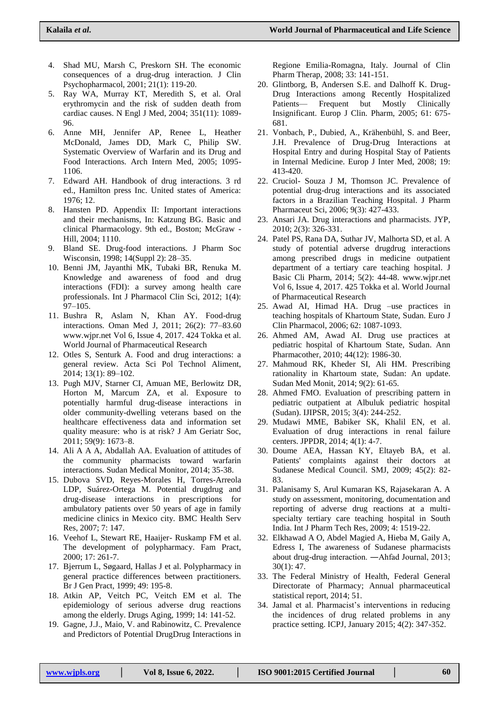- 4. Shad MU, Marsh C, Preskorn SH. The economic consequences of a drug-drug interaction. J Clin Psychopharmacol, 2001; 21(1): 119-20.
- 5. Ray WA, Murray KT, Meredith S, et al. Oral erythromycin and the risk of sudden death from cardiac causes. N Engl J Med, 2004; 351(11): 1089- 96.
- 6. Anne MH, Jennifer AP, Renee L, Heather McDonald, James DD, Mark C, Philip SW. Systematic Overview of Warfarin and its Drug and Food Interactions. Arch Intern Med, 2005; 1095- 1106.
- 7. Edward AH. Handbook of drug interactions. 3 rd ed., Hamilton press Inc. United states of America: 1976; 12.
- 8. Hansten PD. Appendix II: Important interactions and their mechanisms, In: Katzung BG. Basic and clinical Pharmacology. 9th ed., Boston; McGraw - Hill, 2004; 1110.
- 9. Bland SE. Drug-food interactions. J Pharm Soc Wisconsin, 1998; 14(Suppl 2): 28–35.
- 10. Benni JM, Jayanthi MK, Tubaki BR, Renuka M. Knowledge and awareness of food and drug interactions (FDI): a survey among health care professionals. Int J Pharmacol Clin Sci, 2012; 1(4): 97–105.
- 11. Bushra R, Aslam N, Khan AY. Food-drug interactions. Oman Med J, 2011; 26(2): 77–83.60 www.wjpr.net Vol 6, Issue 4, 2017. 424 Tokka et al. World Journal of Pharmaceutical Research
- 12. Otles S, Senturk A. Food and drug interactions: a general review. Acta Sci Pol Technol Aliment, 2014; 13(1): 89–102.
- 13. Pugh MJV, Starner CI, Amuan ME, Berlowitz DR, Horton M, Marcum ZA, et al. Exposure to potentially harmful drug-disease interactions in older community-dwelling veterans based on the healthcare effectiveness data and information set quality measure: who is at risk? J Am Geriatr Soc, 2011; 59(9): 1673–8.
- 14. Ali A A A, Abdallah AA. Evaluation of attitudes of the community pharmacists toward warfarin interactions. Sudan Medical Monitor, 2014; 35-38.
- 15. Dubova SVD, Reyes-Morales H, Torres-Arreola LDP, Suárez-Ortega M. Potential drugdrug and drug-disease interactions in prescriptions for ambulatory patients over 50 years of age in family medicine clinics in Mexico city. BMC Health Serv Res, 2007; 7: 147.
- 16. Veehof L, Stewart RE, Haaijer- Ruskamp FM et al. The development of polypharmacy. Fam Pract, 2000; 17: 261-7.
- 17. Bjerrum L, Søgaard, Hallas J et al. Polypharmacy in general practice differences between practitioners. Br J Gen Pract, 1999; 49: 195-8.
- 18. Atkin AP, Veitch PC, Veitch EM et al. The epidemiology of serious adverse drug reactions among the elderly. Drugs Aging, 1999; 14: 141-52.
- 19. Gagne, J.J., Maio, V. and Rabinowitz, C. Prevalence and Predictors of Potential DrugDrug Interactions in

Regione Emilia-Romagna, Italy. Journal of Clin Pharm Therap, 2008; 33: 141-151.

- 20. Glintborg, B, Andersen S.E. and Dalhoff K. Drug-Drug Interactions among Recently Hospitalized Patients— Frequent but Mostly Clinically Insignificant. Europ J Clin. Pharm, 2005; 61: 675- 681.
- 21. Vonbach, P., Dubied, A., Krähenbühl, S. and Beer, J.H. Prevalence of Drug-Drug Interactions at Hospital Entry and during Hospital Stay of Patients in Internal Medicine. Europ J Inter Med, 2008; 19: 413-420.
- 22. Cruciol- Souza J M, Thomson JC. Prevalence of potential drug-drug interactions and its associated factors in a Brazilian Teaching Hospital. J Pharm Pharmaceut Sci, 2006; 9(3): 427-433.
- 23. Ansari JA. Drug interactions and pharmacists. JYP, 2010; 2(3): 326-331.
- 24. Patel PS, Rana DA, Suthar JV, Malhorta SD, et al. A study of potential adverse drugdrug interactions among prescribed drugs in medicine outpatient department of a tertiary care teaching hospital. J Basic Cli Pharm, 2014; 5(2): 44-48. www.wjpr.net Vol 6, Issue 4, 2017. 425 Tokka et al. World Journal of Pharmaceutical Research
- 25. Awad AI, Himad HA. Drug –use practices in teaching hospitals of Khartoum State, Sudan. Euro J Clin Pharmacol, 2006; 62: 1087-1093.
- 26. Ahmed AM, Awad AI. Drug use practices at pediatric hospital of Khartoum State, Sudan. Ann Pharmacother, 2010; 44(12): 1986-30.
- 27. Mahmoud RK, Kheder SI, Ali HM. Prescribing rationality in Khartoum state, Sudan: An update. Sudan Med Monit, 2014; 9(2): 61-65.
- 28. Ahmed FMO. Evaluation of prescribing pattern in pediatric outpatient at Albuluk pediatric hospital (Sudan). IJIPSR, 2015; 3(4): 244-252.
- 29. Mudawi MME, Babiker SK, Khalil EN, et al. Evaluation of drug interactions in renal failure centers. JPPDR, 2014; 4(1): 4-7.
- 30. Doume AEA, Hassan KY, Eltayeb BA, et al. Patients' complaints against their doctors at Sudanese Medical Council. SMJ, 2009; 45(2): 82- 83.
- 31. Palanisamy S, Arul Kumaran KS, Rajasekaran A. A study on assessment, monitoring, documentation and reporting of adverse drug reactions at a multispecialty tertiary care teaching hospital in South India. Int J Pharm Tech Res, 2009; 4: 1519-22.
- 32. Elkhawad A O, Abdel Magied A, Hieba M, Gaily A, Edress I, The awareness of Sudanese pharmacists about drug-drug interaction. ―Ahfad Journal, 2013; 30(1): 47.
- 33. The Federal Ministry of Health, Federal General Directorate of Pharmacy; Annual pharmaceutical statistical report, 2014; 51.
- 34. Jamal et al. Pharmacist's interventions in reducing the incidences of drug related problems in any practice setting. ICPJ, January 2015; 4(2): 347-352.